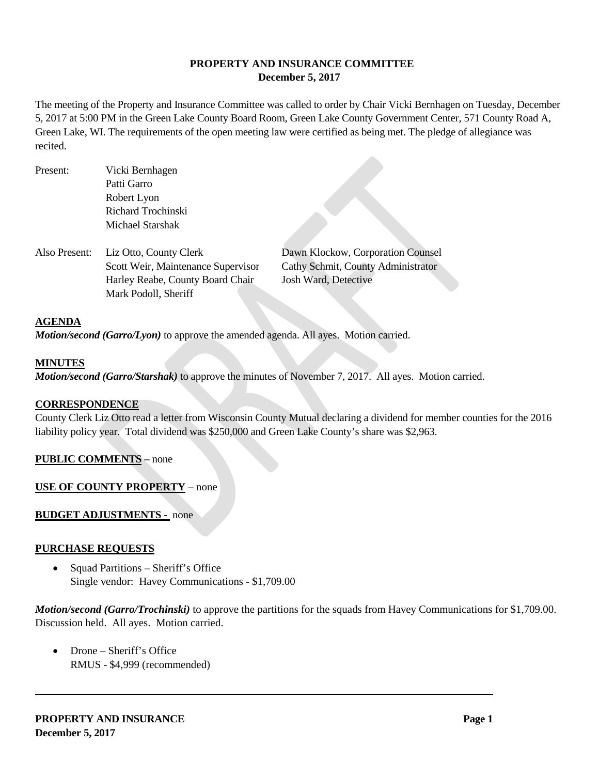## **PROPERTY AND INSURANCE COMMITTEE December 5, 2017**

The meeting of the Property and Insurance Committee was called to order by Chair Vicki Bernhagen on Tuesday, December 5, 2017 at 5:00 PM in the Green Lake County Board Room, Green Lake County Government Center, 571 County Road A, Green Lake, WI. The requirements of the open meeting law were certified as being met. The pledge of allegiance was recited.

- Present: Vicki Bernhagen Patti Garro Robert Lyon Richard Trochinski Michael Starshak
- Also Present: Liz Otto, County Clerk Dawn Klockow, Corporation Counsel Scott Weir, Maintenance Supervisor Cathy Schmit, County Administrator Harley Reabe, County Board Chair Josh Ward, Detective Mark Podoll, Sheriff

### **AGENDA**

*Motion/second (Garro/Lyon)* to approve the amended agenda. All ayes. Motion carried.

### **MINUTES**

*Motion/second (Garro/Starshak)* to approve the minutes of November 7, 2017. All ayes. Motion carried.

#### **CORRESPONDENCE**

County Clerk Liz Otto read a letter from Wisconsin County Mutual declaring a dividend for member counties for the 2016 liability policy year. Total dividend was \$250,000 and Green Lake County's share was \$2,963.

## **PUBLIC COMMENTS –** none

**USE OF COUNTY PROPERTY** – none

#### **BUDGET ADJUSTMENTS -** none

#### **PURCHASE REQUESTS**

• Squad Partitions – Sheriff's Office Single vendor: Havey Communications - \$1,709.00

*Motion/second (Garro/Trochinski)* to approve the partitions for the squads from Havey Communications for \$1,709.00. Discussion held. All ayes. Motion carried.

• Drone – Sheriff's Office RMUS - \$4,999 (recommended)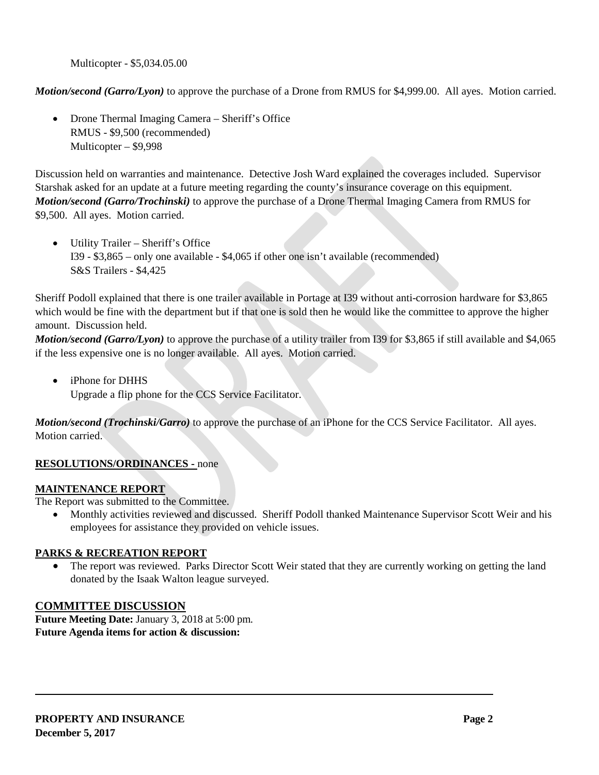Multicopter - \$5,034.05.00

*Motion/second (Garro/Lyon)* to approve the purchase of a Drone from RMUS for \$4,999.00. All ayes. Motion carried.

• Drone Thermal Imaging Camera – Sheriff's Office RMUS - \$9,500 (recommended) Multicopter – \$9,998

Discussion held on warranties and maintenance. Detective Josh Ward explained the coverages included. Supervisor Starshak asked for an update at a future meeting regarding the county's insurance coverage on this equipment. *Motion/second (Garro/Trochinski)* to approve the purchase of a Drone Thermal Imaging Camera from RMUS for \$9,500. All ayes. Motion carried.

• Utility Trailer – Sheriff's Office I39 - \$3,865 – only one available - \$4,065 if other one isn't available (recommended) S&S Trailers - \$4,425

Sheriff Podoll explained that there is one trailer available in Portage at I39 without anti-corrosion hardware for \$3,865 which would be fine with the department but if that one is sold then he would like the committee to approve the higher amount. Discussion held.

*Motion/second (Garro/Lyon)* to approve the purchase of a utility trailer from I39 for \$3,865 if still available and \$4,065 if the less expensive one is no longer available. All ayes. Motion carried.

• iPhone for DHHS

Upgrade a flip phone for the CCS Service Facilitator.

*Motion/second (Trochinski/Garro)* to approve the purchase of an iPhone for the CCS Service Facilitator. All ayes. Motion carried.

# **RESOLUTIONS/ORDINANCES -** none

## **MAINTENANCE REPORT**

The Report was submitted to the Committee.

• Monthly activities reviewed and discussed. Sheriff Podoll thanked Maintenance Supervisor Scott Weir and his employees for assistance they provided on vehicle issues.

# **PARKS & RECREATION REPORT**

• The report was reviewed. Parks Director Scott Weir stated that they are currently working on getting the land donated by the Isaak Walton league surveyed.

# **COMMITTEE DISCUSSION**

**Future Meeting Date:** January 3, 2018 at 5:00 pm. **Future Agenda items for action & discussion:**